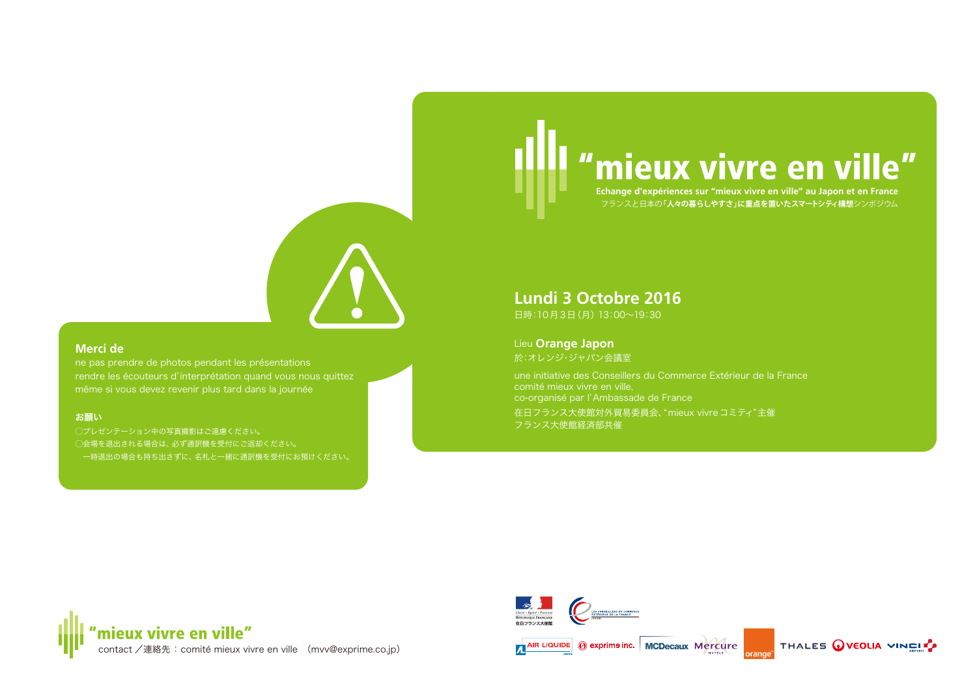# "mieux vivre en ville"

**Echange d'expériences sur "mieux vivre en ville" au Japon et en France** フランスと日本の**「人々の暮らしやすさ」に重点を置いたスマートシティ構想**シンポジウム



### **Merci de**

ne pas prendre de photos pendant les présentations rendre les écouteurs d'interprétation quand vous nous quittez même si vous devez revenir plus tard dans la journée

#### お願い

◯プレゼンテーション中の写真撮影はご遠慮ください。 ◯会場を退出される場合は、必ず通訳機を受付にご返却ください。 一時退出の場合も持ち出さずに、名札と一緒に通訳機を受付にお預けください。

## **Lundi 3 Octobre 2016**

日時:10月3日(月) 13:00~19:30

Lieu **Orange Japon** 於:オレンジ・ジャパン会議室

une initiative des Conseillers du Commerce Extérieur de la France comité mieux vivre en ville, co-organisé par l'Ambassade de France

在日フランス大使館対外貿易委員会、"mieux vivreコミティ"主催 フランス大使館経済部共催